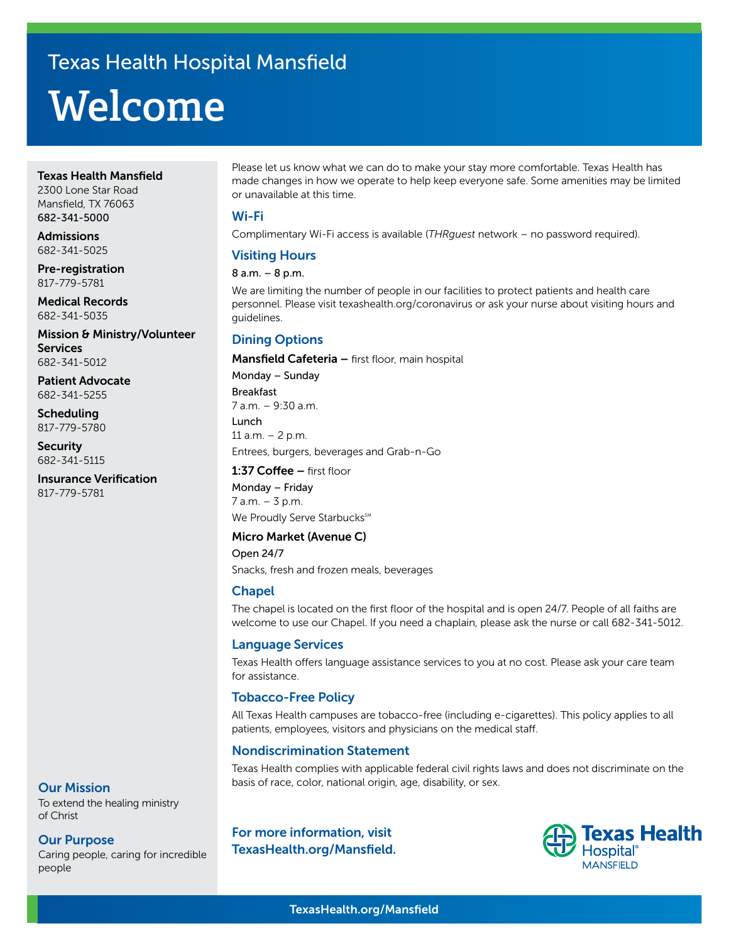# **Welcome** Texas Health Hospital Mansfield

#### Texas Health Mansfield

2300 Lone Star Road Mansfield, TX 76063 682-341-5000

Admissions 682-341-5025

Pre-registration 817-779-5781

Medical Records 682-341-5035

Mission & Ministry/Volunteer **Services** 682-341-5012

Patient Advocate 682-341-5255

Scheduling 817-779-5780

**Security** 682-341-5115

Insurance Verification 817-779-5781

Please let us know what we can do to make your stay more comfortable. Texas Health has made changes in how we operate to help keep everyone safe. Some amenities may be limited or unavailable at this time.

#### Wi-Fi

Complimentary Wi-Fi access is available (*THRguest* network – no password required).

# Visiting Hours

#### 8 a.m. – 8 p.m.

We are limiting the number of people in our facilities to protect patients and health care personnel. Please visit texashealth.org/coronavirus or ask your nurse about visiting hours and guidelines.

# Dining Options

Mansfield Cafeteria - first floor, main hospital

Monday – Sunday

Breakfast 7 a.m. – 9:30 a.m.

Lunch 11  $a.m. - 2 p.m.$ Entrees, burgers, beverages and Grab-n-Go

## 1:37 Coffee – first floor

Monday – Friday 7 a.m. – 3 p.m. We Proudly Serve Starbucks<sup>SM</sup>

# Micro Market (Avenue C)

Open 24/7 Snacks, fresh and frozen meals, beverages

## **Chapel**

The chapel is located on the first floor of the hospital and is open 24/7. People of all faiths are welcome to use our Chapel. If you need a chaplain, please ask the nurse or call 682-341-5012.

## Language Services

Texas Health offers language assistance services to you at no cost. Please ask your care team for assistance.

# Tobacco-Free Policy

All Texas Health campuses are tobacco-free (including e-cigarettes). This policy applies to all patients, employees, visitors and physicians on the medical staff.

# Nondiscrimination Statement

Texas Health complies with applicable federal civil rights laws and does not discriminate on the basis of race, color, national origin, age, disability, or sex.

## Our Mission

To extend the healing ministry of Christ

## Our Purpose

Caring people, caring for incredible people

For more information, visit TexasHealth.org/Mansfield.